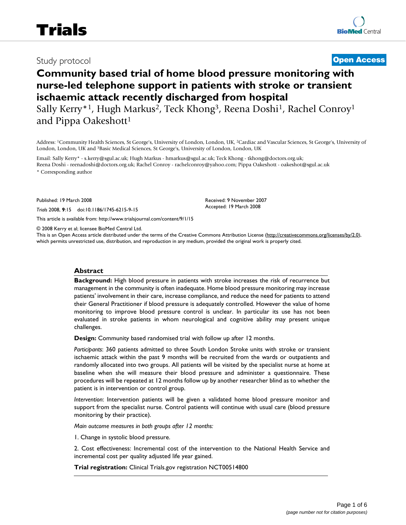# Study protocol **[Open Access](http://www.biomedcentral.com/info/about/charter/)**

# **Community based trial of home blood pressure monitoring with nurse-led telephone support in patients with stroke or transient ischaemic attack recently discharged from hospital**

Sally Kerry<sup>\*1</sup>, Hugh Markus<sup>2</sup>, Teck Khong<sup>3</sup>, Reena Doshi<sup>1</sup>, Rachel Conroy<sup>1</sup> and Pippa Oakeshott<sup>1</sup>

Address: 1Community Health Sciences, St George's, University of London, London, UK, 2Cardiac and Vascular Sciences, St George's, University of London, London, UK and 3Basic Medical Sciences, St George's, University of London, London, UK

Email: Sally Kerry\* - s.kerry@sgul.ac.uk; Hugh Markus - hmarkus@sgul.ac.uk; Teck Khong - tkhong@doctors.org.uk; Reena Doshi - reenadoshi@doctors.org.uk; Rachel Conroy - rachelconroy@yahoo.com; Pippa Oakeshott - oakeshot@sgul.ac.uk \* Corresponding author

Published: 19 March 2008

*Trials* 2008, **9**:15 doi:10.1186/1745-6215-9-15

[This article is available from: http://www.trialsjournal.com/content/9/1/15](http://www.trialsjournal.com/content/9/1/15)

© 2008 Kerry et al; licensee BioMed Central Ltd.

This is an Open Access article distributed under the terms of the Creative Commons Attribution License [\(http://creativecommons.org/licenses/by/2.0\)](http://creativecommons.org/licenses/by/2.0), which permits unrestricted use, distribution, and reproduction in any medium, provided the original work is properly cited.

Received: 9 November 2007 Accepted: 19 March 2008

#### **Abstract**

**Background:** High blood pressure in patients with stroke increases the risk of recurrence but management in the community is often inadequate. Home blood pressure monitoring may increase patients' involvement in their care, increase compliance, and reduce the need for patients to attend their General Practitioner if blood pressure is adequately controlled. However the value of home monitoring to improve blood pressure control is unclear. In particular its use has not been evaluated in stroke patients in whom neurological and cognitive ability may present unique challenges.

**Design:** Community based randomised trial with follow up after 12 months.

*Participants*: 360 patients admitted to three South London Stroke units with stroke or transient ischaemic attack within the past 9 months will be recruited from the wards or outpatients and randomly allocated into two groups. All patients will be visited by the specialist nurse at home at baseline when she will measure their blood pressure and administer a questionnaire. These procedures will be repeated at 12 months follow up by another researcher blind as to whether the patient is in intervention or control group.

*Intervention*: Intervention patients will be given a validated home blood pressure monitor and support from the specialist nurse. Control patients will continue with usual care (blood pressure monitoring by their practice).

*Main outcome measures in both groups after 12 months:*

1. Change in systolic blood pressure.

2. Cost effectiveness: Incremental cost of the intervention to the National Health Service and incremental cost per quality adjusted life year gained.

**Trial registration:** Clinical Trials.gov registration NCT00514800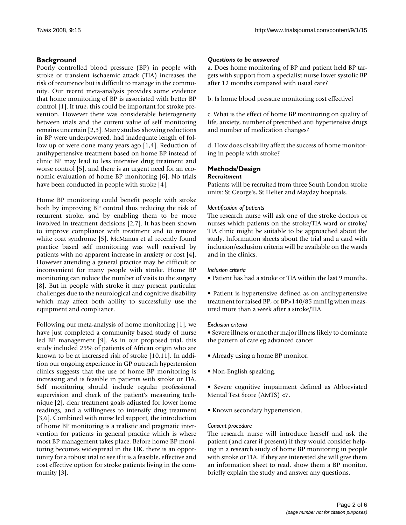### **Background**

Poorly controlled blood pressure (BP) in people with stroke or transient ischaemic attack (TIA) increases the risk of recurrence but is difficult to manage in the community. Our recent meta-analysis provides some evidence that home monitoring of BP is associated with better BP control [1]. If true, this could be important for stroke prevention. However there was considerable heterogeneity between trials and the current value of self monitoring remains uncertain [2,3]. Many studies showing reductions in BP were underpowered, had inadequate length of follow up or were done many years ago [1,4]. Reduction of antihypertensive treatment based on home BP instead of clinic BP may lead to less intensive drug treatment and worse control [5], and there is an urgent need for an economic evaluation of home BP monitoring [6]. No trials have been conducted in people with stroke [4].

Home BP monitoring could benefit people with stroke both by improving BP control thus reducing the risk of recurrent stroke, and by enabling them to be more involved in treatment decisions [2,7]. It has been shown to improve compliance with treatment and to remove white coat syndrome [5]. McManus et al recently found practice based self monitoring was well received by patients with no apparent increase in anxiety or cost [4]. However attending a general practice may be difficult or inconvenient for many people with stroke. Home BP monitoring can reduce the number of visits to the surgery [8]. But in people with stroke it may present particular challenges due to the neurological and cognitive disability which may affect both ability to successfully use the equipment and compliance.

Following our meta-analysis of home monitoring [1], we have just completed a community based study of nurse led BP management [9]. As in our proposed trial, this study included 25% of patients of African origin who are known to be at increased risk of stroke [10,11]. In addition our ongoing experience in GP outreach hypertension clinics suggests that the use of home BP monitoring is increasing and is feasible in patients with stroke or TIA. Self monitoring should include regular professional supervision and check of the patient's measuring technique [2], clear treatment goals adjusted for lower home readings, and a willingness to intensify drug treatment [3,6]. Combined with nurse led support, the introduction of home BP monitoring is a realistic and pragmatic intervention for patients in general practice which is where most BP management takes place. Before home BP monitoring becomes widespread in the UK, there is an opportunity for a robust trial to see if it is a feasible, effective and cost effective option for stroke patients living in the community [3].

#### *Questions to be answered*

a. Does home monitoring of BP and patient held BP targets with support from a specialist nurse lower systolic BP after 12 months compared with usual care?

b. Is home blood pressure monitoring cost effective?

c. What is the effect of home BP monitoring on quality of life, anxiety, number of prescribed anti hypertensive drugs and number of medication changes?

d. How does disability affect the success of home monitoring in people with stroke?

# **Methods/Design**

#### *Recruitment*

Patients will be recruited from three South London stroke units: St George's, St Helier and Mayday hospitals.

#### *Identification of patients*

The research nurse will ask one of the stroke doctors or nurses which patients on the stroke/TIA ward or stroke/ TIA clinic might be suitable to be approached about the study. Information sheets about the trial and a card with inclusion/exclusion criteria will be available on the wards and in the clinics.

#### *Inclusion criteria*

• Patient has had a stroke or TIA within the last 9 months.

• Patient is hypertensive defined as on antihypertensive treatment for raised BP, or BP>140/85 mmHg when measured more than a week after a stroke/TIA.

#### *Exclusion criteria*

• Severe illness or another major illness likely to dominate the pattern of care eg advanced cancer.

- Already using a home BP monitor.
- Non-English speaking.
- Severe cognitive impairment defined as Abbreviated Mental Test Score (AMTS) <7.
- Known secondary hypertension.

#### *Consent procedure*

The research nurse will introduce herself and ask the patient (and carer if present) if they would consider helping in a research study of home BP monitoring in people with stroke or TIA. If they are interested she will give them an information sheet to read, show them a BP monitor, briefly explain the study and answer any questions.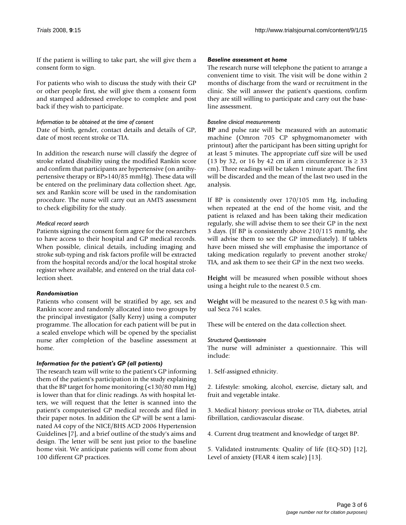If the patient is willing to take part, she will give them a consent form to sign.

For patients who wish to discuss the study with their GP or other people first, she will give them a consent form and stamped addressed envelope to complete and post back if they wish to participate.

*Information to be obtained at the time of consent*

Date of birth, gender, contact details and details of GP, date of most recent stroke or TIA.

In addition the research nurse will classify the degree of stroke related disability using the modified Rankin score and confirm that participants are hypertensive (on antihypertensive therapy or BP>140/85 mmHg). These data will be entered on the preliminary data collection sheet. Age, sex and Rankin score will be used in the randomisation procedure. The nurse will carry out an AMTS assessment to check eligibility for the study.

#### *Medical record search*

Patients signing the consent form agree for the researchers to have access to their hospital and GP medical records. When possible, clinical details, including imaging and stroke sub-typing and risk factors profile will be extracted from the hospital records and/or the local hospital stroke register where available, and entered on the trial data collection sheet.

#### *Randomisation*

Patients who consent will be stratified by age, sex and Rankin score and randomly allocated into two groups by the principal investigator (Sally Kerry) using a computer programme. The allocation for each patient will be put in a sealed envelope which will be opened by the specialist nurse after completion of the baseline assessment at home.

#### *Information for the patient's GP (all patients)*

The research team will write to the patient's GP informing them of the patient's participation in the study explaining that the BP target for home monitoring (<130/80 mm Hg) is lower than that for clinic readings. As with hospital letters, we will request that the letter is scanned into the patient's computerised GP medical records and filed in their paper notes. In addition the GP will be sent a laminated A4 copy of the NICE/BHS ACD 2006 Hypertension Guidelines [7], and a brief outline of the study's aims and design. The letter will be sent just prior to the baseline home visit. We anticipate patients will come from about 100 different GP practices.

#### *Baseline assessment at home*

The research nurse will telephone the patient to arrange a convenient time to visit. The visit will be done within 2 months of discharge from the ward or recruitment in the clinic. She will answer the patient's questions, confirm they are still willing to participate and carry out the baseline assessment.

#### *Baseline clinical measurements*

**BP** and pulse rate will be measured with an automatic machine (Omron 705 CP sphygmomanometer with printout) after the participant has been sitting upright for at least 5 minutes. The appropriate cuff size will be used (13 by 32, or 16 by 42 cm if arm circumference is  $\geq$  33 cm). Three readings will be taken 1 minute apart. The first will be discarded and the mean of the last two used in the analysis.

If BP is consistently over 170/105 mm Hg, including when repeated at the end of the home visit, and the patient is relaxed and has been taking their medication regularly, she will advise them to see their GP in the next 3 days. (If BP is consistently above 210/115 mmHg, she will advise them to see the GP immediately). If tablets have been missed she will emphasise the importance of taking medication regularly to prevent another stroke/ TIA, and ask them to see their GP in the next two weeks.

**Height** will be measured when possible without shoes using a height rule to the nearest 0.5 cm.

**Weight** will be measured to the nearest 0.5 kg with manual Seca 761 scales.

These will be entered on the data collection sheet.

#### *Structured Questionnaire*

The nurse will administer a questionnaire. This will include:

1. Self-assigned ethnicity.

2. Lifestyle: smoking, alcohol, exercise, dietary salt, and fruit and vegetable intake.

3. Medical history: previous stroke or TIA, diabetes, atrial fibrillation, cardiovascular disease.

4. Current drug treatment and knowledge of target BP.

5. Validated instruments: Quality of life (EQ-5D) [12], Level of anxiety (FEAR 4 item scale) [13].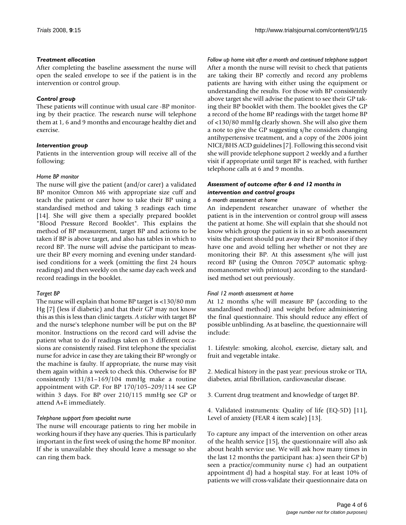#### *Treatment allocation*

After completing the baseline assessment the nurse will open the sealed envelope to see if the patient is in the intervention or control group.

#### *Control group*

These patients will continue with usual care -BP monitoring by their practice. The research nurse will telephone them at 1, 6 and 9 months and encourage healthy diet and exercise.

#### *Intervention group*

Patients in the intervention group will receive all of the following:

#### *Home BP monitor*

The nurse will give the patient (and/or carer) a validated BP monitor Omron M6 with appropriate size cuff and teach the patient or carer how to take their BP using a standardised method and taking 3 readings each time [14]. She will give them a specially prepared booklet "Blood Pressure Record Booklet". This explains the method of BP measurement, target BP and actions to be taken if BP is above target, and also has tables in which to record BP. The nurse will advise the participant to measure their BP every morning and evening under standardised conditions for a week (omitting the first 24 hours readings) and then weekly on the same day each week and record readings in the booklet.

#### *Target BP*

The nurse will explain that home BP target is <130/80 mm Hg [7] (less if diabetic) and that their GP may not know this as this is less than clinic targets. *A sticker* with target BP and the nurse's telephone number will be put on the BP monitor. Instructions on the record card will advise the patient what to do if readings taken on 3 different occasions are consistently raised. First telephone the specialist nurse for advice in case they are taking their BP wrongly or the machine is faulty. If appropriate, the nurse may visit them again within a week to check this. Otherwise for BP consistently 131/81–169/104 mmHg make a routine appointment with GP. For BP 170/105–209/114 see GP within 3 days. For BP over 210/115 mmHg see GP or attend A+E immediately.

#### *Telephone support from specialist nurse*

The nurse will encourage patients to ring her mobile in working hours if they have any queries. This is particularly important in the first week of using the home BP monitor. If she is unavailable they should leave a message so she can ring them back.

*Follow up home visit after a month and continued telephone support* After a month the nurse will revisit to check that patients are taking their BP correctly and record any problems patients are having with either using the equipment or understanding the results. For those with BP consistently above target she will advise the patient to see their GP taking their BP booklet with them. The booklet gives the GP a record of the home BP readings with the target home BP of <130/80 mmHg clearly shown. She will also give them a note to give the GP suggesting s/he considers changing antihypertensive treatment, and a copy of the 2006 joint NICE/BHS ACD guidelines [7]. Following this second visit she will provide telephone support 2 weekly and a further visit if appropriate until target BP is reached, with further telephone calls at 6 and 9 months.

## *Assessment of outcome after 6 and 12 months in intervention and control groups*

#### *6 month assessment at home*

An independent researcher unaware of whether the patient is in the intervention or control group will assess the patient at home. She will explain that she should not know which group the patient is in so at both assessment visits the patient should put away their BP monitor if they have one and avoid telling her whether or not they are monitoring their BP. At this assessment s/he will just record BP (using the Omron 705CP automatic sphygmomanometer with printout) according to the standardised method set out previously.

#### *Final 12 month assessment at home*

At 12 months s/he will measure BP (according to the standardised method) and weight before administering the final questionnaire. This should reduce any effect of possible unblinding. As at baseline, the questionnaire will include:

1. Lifestyle: smoking, alcohol, exercise, dietary salt, and fruit and vegetable intake.

2. Medical history in the past year: previous stroke or TIA, diabetes, atrial fibrillation, cardiovascular disease.

3. Current drug treatment and knowledge of target BP.

4. Validated instruments: Quality of life (EQ-5D) [11], Level of anxiety (FEAR 4 item scale) [13].

To capture any impact of the intervention on other areas of the health service [15], the questionnaire will also ask about health service use. We will ask how many times in the last 12 months the participant has: a) seen their GP b) seen a practice/community nurse c) had an outpatient appointment d) had a hospital stay. For at least 10% of patients we will cross-validate their questionnaire data on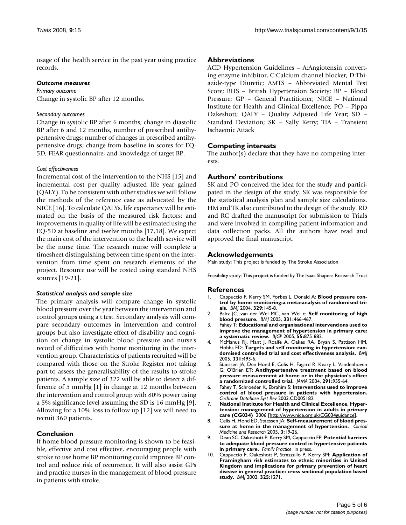usage of the health service in the past year using practice records.

#### *Outcome measures*

*Primary outcome* Change in systolic BP after 12 months.

#### *Secondary outcomes*

Change in systolic BP after 6 months; change in diastolic BP after 6 and 12 months, number of prescribed antihypertensive drugs; number of changes in prescribed antihypertensive drugs; change from baseline in scores for EQ-5D, FEAR questionnaire, and knowledge of target BP.

#### *Cost effectiveness*

Incremental cost of the intervention to the NHS [15] and incremental cost per quality adjusted life year gained (QALY). To be consistent with other studies we will follow the methods of the reference case as advocated by the NICE [16]. To calculate QALYs, life expectancy will be estimated on the basis of the measured risk factors; and improvements in quality of life will be estimated using the EQ-5D at baseline and twelve months [17,18]. We expect the main cost of the intervention to the health service will be the nurse time. The research nurse will complete a timesheet distinguishing between time spent on the intervention from time spent on research elements of the project. Resource use will be costed using standard NHS sources [19-21].

#### *Statistical analysis and sample size*

The primary analysis will compare change in systolic blood pressure over the year between the intervention and control groups using a t test. Secondary analysis will compare secondary outcomes in intervention and control groups but also investigate effect of disability and cognition on change in systolic blood pressure and nurse's record of difficulties with home monitoring in the intervention group. Characteristics of patients recruited will be compared with those on the Stroke Register not taking part to assess the generalisability of the results to stroke patients. A sample size of 322 will be able to detect a difference of 5 mmHg [1] in change at 12 months between the intervention and control group with 80% power using a 5% significance level assuming the SD is 16 mmHg [9]. Allowing for a 10% loss to follow up [12] we will need to recruit 360 patients.

#### **Conclusion**

If home blood pressure monitoring is shown to be feasible, effective and cost effective, encouraging people with stroke to use home BP monitoring could improve BP control and reduce risk of recurrence. It will also assist GPs and practice nurses in the management of blood pressure in patients with stroke.

#### **Abbreviations**

ACD Hypertension Guidelines – A:Angiotensin converting enzyme inhibitor, C:Calcium channel blocker, D:Thiazide-type Diuretic; AMTS – Abbreviated Mental Test Score; BHS – British Hypertension Society; BP – Blood Pressure; GP – General Practitioner; NICE – National Institute for Health and Clinical Excellence; PO – Pippa Oakeshott; QALY – Quality Adjusted Life Year; SD – Standard Deviation; SK – Sally Kerry; TIA – Transient Ischaemic Attack

#### **Competing interests**

The author(s) declare that they have no competing interests.

#### **Authors' contributions**

SK and PO conceived the idea for the study and participated in the design of the study. SK was responsible for the statistical analysis plan and sample size calculations. HM and TK also contributed to the design of the study. RD and RC drafted the manuscript for submission to Trials and were involved in compiling patient information and data collection packs. All the authors have read and approved the final manuscript.

#### **Acknowledgements**

Main study: This project is funded by The Stroke Association

Feasibility study: This project is funded by The Isaac Shapera Research Trust

#### **References**

- 1. Cappuccio F, Kerry SM, Forbes L, Donald A: **[Blood pressure con](http://www.ncbi.nlm.nih.gov/entrez/query.fcgi?cmd=Retrieve&db=PubMed&dopt=Abstract&list_uids=15194600)[trol by home monitoring:a meta-analysis of randomised tri](http://www.ncbi.nlm.nih.gov/entrez/query.fcgi?cmd=Retrieve&db=PubMed&dopt=Abstract&list_uids=15194600)[als.](http://www.ncbi.nlm.nih.gov/entrez/query.fcgi?cmd=Retrieve&db=PubMed&dopt=Abstract&list_uids=15194600)** *BMJ* 2004, **329:**145-8.
- 2. Bakx JC, van der Wel MC, van Wel c: **[Self monitoring of high](http://www.ncbi.nlm.nih.gov/entrez/query.fcgi?cmd=Retrieve&db=PubMed&dopt=Abstract&list_uids=16141135) [blood pressure.](http://www.ncbi.nlm.nih.gov/entrez/query.fcgi?cmd=Retrieve&db=PubMed&dopt=Abstract&list_uids=16141135)** *BMJ* 2005, **331:**466-467.
- 3. Fahey T: **Educational and organisational interventions used to improve the management of hypertension in primary care: a systematic review.** *BJGP* 2005, **55:**875-882.
- 4. McManus RJ, Mant J, Roalfe A, Oakes RA, Bryan S, Pattison HM, Hobbs FD: **[Targets and self monitoring in hypertension: ran](http://www.ncbi.nlm.nih.gov/entrez/query.fcgi?cmd=Retrieve&db=PubMed&dopt=Abstract&list_uids=16115830)[domised controlled trial and cost effectiveness analysis.](http://www.ncbi.nlm.nih.gov/entrez/query.fcgi?cmd=Retrieve&db=PubMed&dopt=Abstract&list_uids=16115830)** *BMJ* 2005, **331:**493-6.
- 5. Staessen JA, Den Hond E, Celis H, Fagard R, Keary L, Vandenhoven G, O'Brien ET: **[Antihypertensive treatment based on blood](http://www.ncbi.nlm.nih.gov/entrez/query.fcgi?cmd=Retrieve&db=PubMed&dopt=Abstract&list_uids=14982911) [pressure measurement at home or in the physician's office:](http://www.ncbi.nlm.nih.gov/entrez/query.fcgi?cmd=Retrieve&db=PubMed&dopt=Abstract&list_uids=14982911) [a randomized controlled trial.](http://www.ncbi.nlm.nih.gov/entrez/query.fcgi?cmd=Retrieve&db=PubMed&dopt=Abstract&list_uids=14982911)** *JAMA* 2004, **291:**955-64.
- 6. Fahey T, Schroeder K, Ebrahim S: **Interventions used to improve control of blood pressure in patients with hypertension.** *Cochrane Database Syst Rev* 2003:CD005182.
- 7. **National Institute for Health and Clinical Excellence. Hypertension: management of hypertension in adults in primary care (CG034)** 2006 [[http://www.nice.org.uk/CG034guidance\]](http://www.nice.org.uk/CG034guidance).
- 8. Celis H, Hond ED, Staessen JA: **Self-measurement of blood pressure at home in the management of hypertension.** *Clinical Medicine and Research* 2005, **3:**19-26.
- 9. Dean SC, Oakeshott P, Kerry SM, Cappuccio FP: **Potential barriers to adequate blood pressure control in hypertensive patients in primary care.** *Family Practice* in press.
- 10. Cappuccio F, Oakeshott P, Strazzullo P, Kerry SM: **[Application of](http://www.ncbi.nlm.nih.gov/entrez/query.fcgi?cmd=Retrieve&db=PubMed&dopt=Abstract&list_uids=12458243) [Framingham risk estimates to ethnic minorities in United](http://www.ncbi.nlm.nih.gov/entrez/query.fcgi?cmd=Retrieve&db=PubMed&dopt=Abstract&list_uids=12458243) Kingdom and implications for primary prevention of heart disease in general practice: cross sectional population based [study.](http://www.ncbi.nlm.nih.gov/entrez/query.fcgi?cmd=Retrieve&db=PubMed&dopt=Abstract&list_uids=12458243)** *BMJ* 2002, **325:**1271.